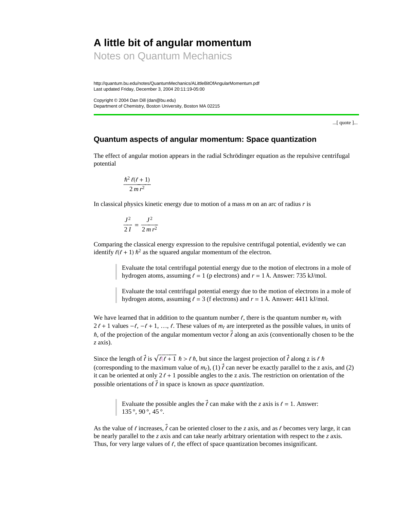# **A little bit of angular momentum**

Notes on Quantum Mechanics

http://quantum.bu.edu/notes/QuantumMechanics/ALittleBitOfAngularMomentum.pdf Last updated Friday, December 3, 2004 20:11:19-05:00

Copyright © 2004 Dan Dill (dan@bu.edu) Department of Chemistry, Boston University, Boston MA 02215

...[ quote ]...

## **Quantum aspects of angular momentum: Space quantization**

The effect of angular motion appears in the radial Schrödinger equation as the repulsive centrifugal potential

$$
\frac{\hbar^2\,\ell(\ell+1)}{2\,m\,r^2}
$$

In classical physics kinetic energy due to motion of a mass *m* on an arc of radius *r* is

$$
\frac{J^2}{2I}=\frac{J^2}{2mr^2}
$$

Comparing the classical energy expression to the repulsive centrifugal potential, evidently we can identify  $\ell(\ell + 1)$   $\hbar^2$  as the squared angular momentum of the electron.

> Evaluate the total centrifugal potential energy due to the motion of electrons in a mole of hydrogen atoms, assuming  $\ell = 1$  (p electrons) and  $r = 1$  Å. Answer: 735 kJ/mol.

> Evaluate the total centrifugal potential energy due to the motion of electrons in a mole of hydrogen atoms, assuming  $\ell = 3$  (f electrons) and  $r = 1$  Å. Answer: 4411 kJ/mol.

We have learned that in addition to the quantum number  $\ell$ , there is the quantum number  $m_{\ell}$  with  $2l + 1$  values  $-l$ ,  $-l + 1$ , ...,  $l$ . These values of  $m_l$  are interpreted as the possible values, in units of  $\hbar$ , of the projection of the angular momentum vector  $\vec{l}$  along an axis (conventionally chosen to be the *z* axis).

Since the length of  $\vec{l}$  is  $\sqrt{l(l+1)} \hbar > l \hbar$ , but since the largest projection of  $\vec{l}$  along z is  $l \hbar$ (corresponding to the maximum value of  $m_l$ ), (1)  $\vec{l}$  can never be exactly parallel to the z axis, and (2) it can be oriented at only  $2\ell + 1$  possible angles to the z axis. The restriction on orientation of the possible orientations of  $\vec{l}$  in space is known as *space quantization*.

> Evaluate the possible angles the  $\vec{l}$  can make with the *z* axis is  $\ell = 1$ . Answer: 135 $^{\circ}$ , 90 $^{\circ}$ , 45 $^{\circ}$ .

As the value of  $\ell$  increases,  $\vec{\ell}$  can be oriented closer to the *z* axis, and as  $\ell$  becomes very large, it can be nearly parallel to the *z* axis and can take nearly arbitrary orientation with respect to the *z* axis. Thus, for very large values of  $\ell$ , the effect of space quantization becomes insignificant.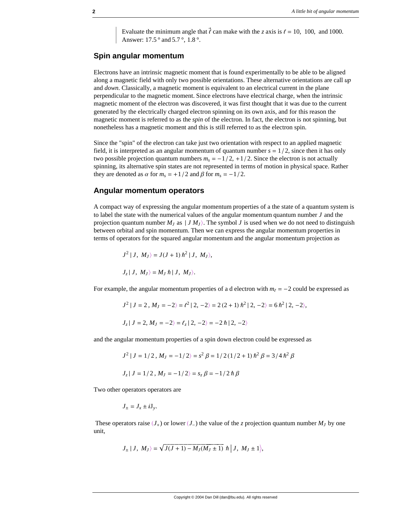Evaluate the minimum angle that  $\vec{l}$  can make with the *z* axis is  $\ell = 10$ , 100, and 1000. Answer: 17.5 ° and 5.7 °, 1.8 °.

## **Spin angular momentum**

Electrons have an intrinsic magnetic moment that is found experimentally to be able to be aligned along a magnetic field with only two possible orientations. These alternative orientations are call *up* and *down*. Classically, a magnetic moment is equivalent to an electrical current in the plane perpendicular to the magnetic moment. Since electrons have electrical charge, when the intrinsic magnetic moment of the electron was discovered, it was first thought that it was due to the current generated by the electrically charged electron spinning on its own axis, and for this reason the magnetic moment is referred to as the *spin* of the electron. In fact, the electron is not spinning, but nonetheless has a magnetic moment and this is still referred to as the electron spin.

Since the "spin" of the electron can take just two orientation with respect to an applied magnetic field, it is interpreted as an angular momentum of quantum number  $s = 1/2$ , since then it has only two possible projection quantum numbers  $m_s = -1/2, +1/2$ . Since the electron is not actually spinning, its alternative spin states are not represented in terms of motion in physical space. Rather they are denoted as  $\alpha$  for  $m_s = +1/2$  and  $\beta$  for  $m_s = -1/2$ .

### **Angular momentum operators**

A compact way of expressing the angular momentum properties of a the state of a quantum system is to label the state with the numerical values of the angular momentum quantum number *J* and the projection quantum number  $M_J$  as  $|JM_J\rangle$ . The symbol *J* is used when we do not need to distinguish between orbital and spin momentum. Then we can express the angular momentum properties in terms of operators for the squared angular momentum and the angular momentum projection as

$$
J^2 | J, M_J \rangle = J(J+1) \hbar^2 | J, M_J \rangle,
$$
  

$$
J_z | J, M_J \rangle = M_J \hbar | J, M_J \rangle.
$$

For example, the angular momentum properties of a d electron with  $m_f = -2$  could be expressed as

$$
J^{2} | J = 2, M_{J} = -2 \rangle = \ell^{2} | 2, -2 \rangle = 2 (2 + 1) \hbar^{2} | 2, -2 \rangle = 6 \hbar^{2} | 2, -2 \rangle,
$$
  

$$
J_{z} | J = 2, M_{J} = -2 \rangle = \ell_{z} | 2, -2 \rangle = -2 \hbar | 2, -2 \rangle
$$

and the angular momentum properties of a spin down electron could be expressed as

$$
J^{2} | J = 1/2, M_{J} = -1/2 \rangle = s^{2} \beta = 1/2 (1/2 + 1) \hbar^{2} \beta = 3/4 \hbar^{2} \beta
$$

$$
J_z | J = 1/2, M_J = -1/2 \rangle = s_z \beta = -1/2 \hbar \beta
$$

Two other operators operators are

$$
J_{\pm}=J_{x}\pm iJ_{y}.
$$

These operators raise  $(J_+)$  or lower  $(J_-)$  the value of the *z* projection quantum number  $M_J$  by one unit,

$$
J_{\pm} | J, M_J\rangle = \sqrt{J(J+1) - M_J(M_J \pm 1)} \hbar | J, M_J \pm 1\rangle,
$$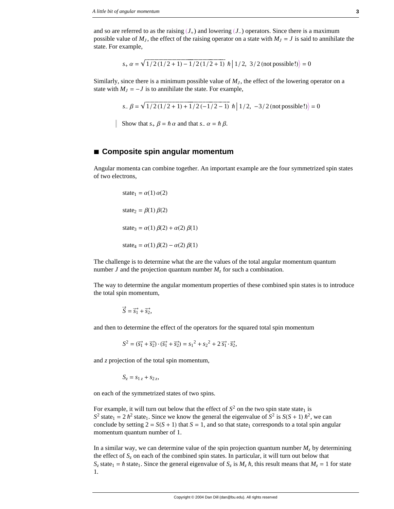and so are referred to as the raising  $(J_+)$  and lowering  $(J_-)$  operators. Since there is a maximum possible value of  $M_J$ , the effect of the raising operator on a state with  $M_J = J$  is said to annihilate the state. For example,

$$
s_+ \alpha = \sqrt{1/2(1/2 + 1) - 1/2(1/2 + 1)} \hbar \left| 1/2, 3/2 \text{ (not possible!)} \right\rangle = 0
$$

Similarly, since there is a minimum possible value of  $M<sub>J</sub>$ , the effect of the lowering operator on a state with  $M_J = -J$  is to annihilate the state. For example,

$$
s_{-} \beta = \sqrt{1/2(1/2+1) + 1/2(-1/2-1)} \hbar |1/2, -3/2 \text{ (not possible!)} = 0
$$

Show that  $s_+ \beta = \hbar \alpha$  and that  $s_- \alpha = \hbar \beta$ .

#### ■ Composite spin angular momentum

Angular momenta can combine together. An important example are the four symmetrized spin states of two electrons,

state<sub>1</sub> = 
$$
\alpha(1) \alpha(2)
$$
  
state<sub>2</sub> =  $\beta(1) \beta(2)$   
state<sub>3</sub> =  $\alpha(1) \beta(2) + \alpha(2) \beta(1)$   
state<sub>4</sub> =  $\alpha(1) \beta(2) - \alpha(2) \beta(1)$ 

The challenge is to determine what the are the values of the total angular momentum quantum number J and the projection quantum number  $M<sub>z</sub>$  for such a combination.

The way to determine the angular momentum properties of these combined spin states is to introduce the total spin momentum,

$$
\vec{S} = \vec{s_1} + \vec{s_2},
$$

and then to determine the effect of the operators for the squared total spin momentum

$$
S^{2} = (\vec{s_{1}} + \vec{s_{2}}) \cdot (\vec{s_{1}} + \vec{s_{2}}) = s_{1}^{2} + s_{2}^{2} + 2 \vec{s_{1}} \cdot \vec{s_{2}},
$$

and z projection of the total spin momentum,

$$
S_z = s_{1z} + s_{2z},
$$

on each of the symmetrized states of two spins.

For example, it will turn out below that the effect of  $S^2$  on the two spin state state<sub>1</sub> is  $S^2$  state<sub>1</sub> = 2  $\hbar^2$  state<sub>1</sub>. Since we know the general the eigenvalue of  $S^2$  is  $S(S + 1)$  $\hbar^2$ , we can conclude by setting  $2 = S(S + 1)$  that  $S = 1$ , and so that state<sub>1</sub> corresponds to a total spin angular momentum quantum number of 1.

In a similar way, we can determine value of the spin projection quantum number  $M_z$  by determining the effect of  $S_z$  on each of the combined spin states. In particular, it will turn out below that  $S_z$  state<sub>1</sub> =  $\hbar$  state<sub>1</sub>. Since the general eigenvalue of  $S_z$  is  $M_z \hbar$ , this result means that  $M_z = 1$  for state 1.